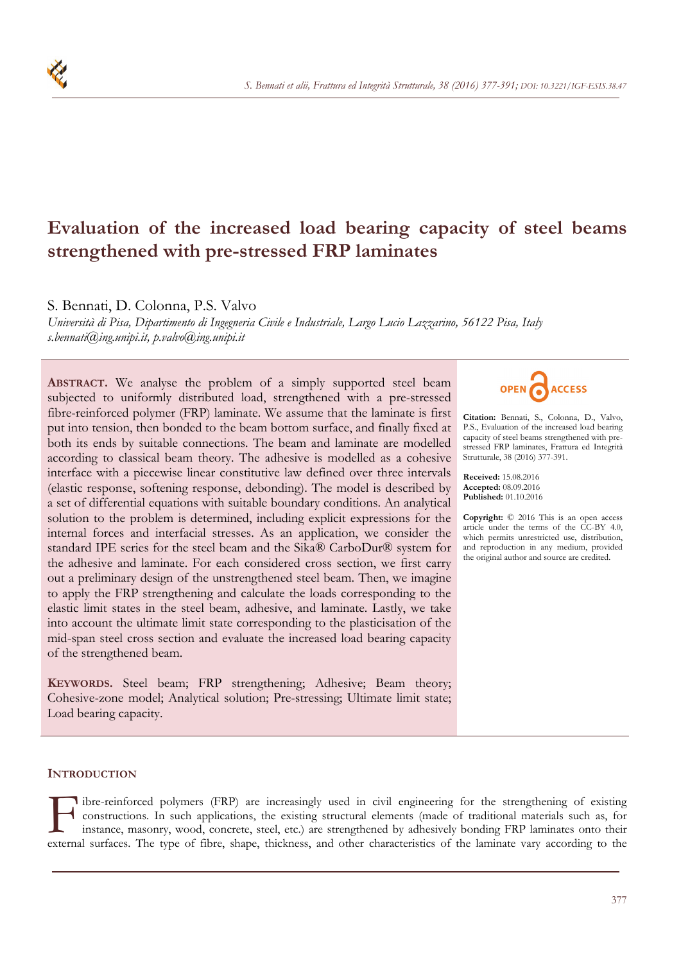# **Evaluation of the increased load bearing capacity of steel beams strengthened with pre-stressed FRP laminates**

S. Bennati, D. Colonna, P.S. Valvo

*Università di Pisa, Dipartimento di Ingegneria Civile e Industriale, Largo Lucio Lazzarino, 56122 Pisa, Italy s.bennati@ing.unipi.it, p.valvo@ing.unipi.it* 

**ABSTRACT.** We analyse the problem of a simply supported steel beam subjected to uniformly distributed load, strengthened with a pre-stressed fibre-reinforced polymer (FRP) laminate. We assume that the laminate is first put into tension, then bonded to the beam bottom surface, and finally fixed at both its ends by suitable connections. The beam and laminate are modelled according to classical beam theory. The adhesive is modelled as a cohesive interface with a piecewise linear constitutive law defined over three intervals (elastic response, softening response, debonding). The model is described by a set of differential equations with suitable boundary conditions. An analytical solution to the problem is determined, including explicit expressions for the internal forces and interfacial stresses. As an application, we consider the standard IPE series for the steel beam and the Sika® CarboDur® system for the adhesive and laminate. For each considered cross section, we first carry out a preliminary design of the unstrengthened steel beam. Then, we imagine to apply the FRP strengthening and calculate the loads corresponding to the elastic limit states in the steel beam, adhesive, and laminate. Lastly, we take into account the ultimate limit state corresponding to the plasticisation of the mid-span steel cross section and evaluate the increased load bearing capacity of the strengthened beam.

**KEYWORDS.** Steel beam; FRP strengthening; Adhesive; Beam theory; Cohesive-zone model; Analytical solution; Pre-stressing; Ultimate limit state; Load bearing capacity.



**Citation:** Bennati, S., Colonna, D., Valvo, P.S., Evaluation of the increased load bearing capacity of steel beams strengthened with prestressed FRP laminates, Frattura ed Integrità Strutturale, 38 (2016) 377-391.

**Received:** 15.08.2016 **Accepted:** 08.09.2016 **Published:** 01.10.2016

**Copyright:** © 2016 This is an open access article under the terms of the CC-BY 4.0, which permits unrestricted use, distribution, and reproduction in any medium, provided the original author and source are credited.

# **INTRODUCTION**

If the reinforced polymers (FRP) are increasingly used in civil engineering for the strengthening of existing constructions. In such applications, the existing structural elements (made of traditional materials such as, fo constructions. In such applications, the existing structural elements (made of traditional materials such as, for external surfaces. The type of fibre, shape, thickness, and other characteristics of the laminate vary according to the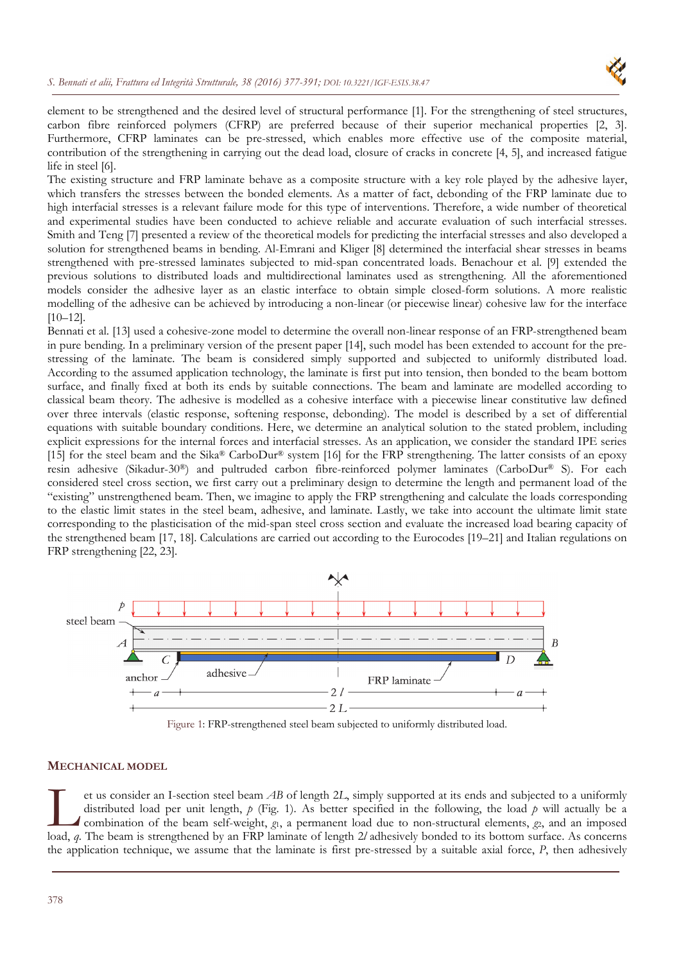

element to be strengthened and the desired level of structural performance [1]. For the strengthening of steel structures, carbon fibre reinforced polymers (CFRP) are preferred because of their superior mechanical properties [2, 3]. Furthermore, CFRP laminates can be pre-stressed, which enables more effective use of the composite material, contribution of the strengthening in carrying out the dead load, closure of cracks in concrete [4, 5], and increased fatigue life in steel [6].

The existing structure and FRP laminate behave as a composite structure with a key role played by the adhesive layer, which transfers the stresses between the bonded elements. As a matter of fact, debonding of the FRP laminate due to high interfacial stresses is a relevant failure mode for this type of interventions. Therefore, a wide number of theoretical and experimental studies have been conducted to achieve reliable and accurate evaluation of such interfacial stresses. Smith and Teng [7] presented a review of the theoretical models for predicting the interfacial stresses and also developed a solution for strengthened beams in bending. Al-Emrani and Kliger [8] determined the interfacial shear stresses in beams strengthened with pre-stressed laminates subjected to mid-span concentrated loads. Benachour et al. [9] extended the previous solutions to distributed loads and multidirectional laminates used as strengthening. All the aforementioned models consider the adhesive layer as an elastic interface to obtain simple closed-form solutions. A more realistic modelling of the adhesive can be achieved by introducing a non-linear (or piecewise linear) cohesive law for the interface [10–12].

Bennati et al. [13] used a cohesive-zone model to determine the overall non-linear response of an FRP-strengthened beam in pure bending. In a preliminary version of the present paper [14], such model has been extended to account for the prestressing of the laminate. The beam is considered simply supported and subjected to uniformly distributed load. According to the assumed application technology, the laminate is first put into tension, then bonded to the beam bottom surface, and finally fixed at both its ends by suitable connections. The beam and laminate are modelled according to classical beam theory. The adhesive is modelled as a cohesive interface with a piecewise linear constitutive law defined over three intervals (elastic response, softening response, debonding). The model is described by a set of differential equations with suitable boundary conditions. Here, we determine an analytical solution to the stated problem, including explicit expressions for the internal forces and interfacial stresses. As an application, we consider the standard IPE series [15] for the steel beam and the Sika® CarboDur® system [16] for the FRP strengthening. The latter consists of an epoxy resin adhesive (Sikadur-30®) and pultruded carbon fibre-reinforced polymer laminates (CarboDur® S). For each considered steel cross section, we first carry out a preliminary design to determine the length and permanent load of the "existing" unstrengthened beam. Then, we imagine to apply the FRP strengthening and calculate the loads corresponding to the elastic limit states in the steel beam, adhesive, and laminate. Lastly, we take into account the ultimate limit state corresponding to the plasticisation of the mid-span steel cross section and evaluate the increased load bearing capacity of the strengthened beam [17, 18]. Calculations are carried out according to the Eurocodes [19–21] and Italian regulations on FRP strengthening [22, 23].



Figure 1: FRP-strengthened steel beam subjected to uniformly distributed load.

# **MECHANICAL MODEL**

et us consider an I-section steel beam *AB* of length 2*L*, simply supported at its ends and subjected to a uniformly distributed load per unit length, *p* (Fig. 1). As better specified in the following, the load *p* will actually be a combination of the beam self-weight, *g*1, a permanent load due to non-structural elements, *g*2, and an imposed In the strengthened by an FRP laminate of length 2*l*, simply supported at its ends and subjected to a uniformly distributed load per unit length,  $p$  (Fig. 1). As better specified in the following, the load  $p$  will actu the application technique, we assume that the laminate is first pre-stressed by a suitable axial force, *P*, then adhesively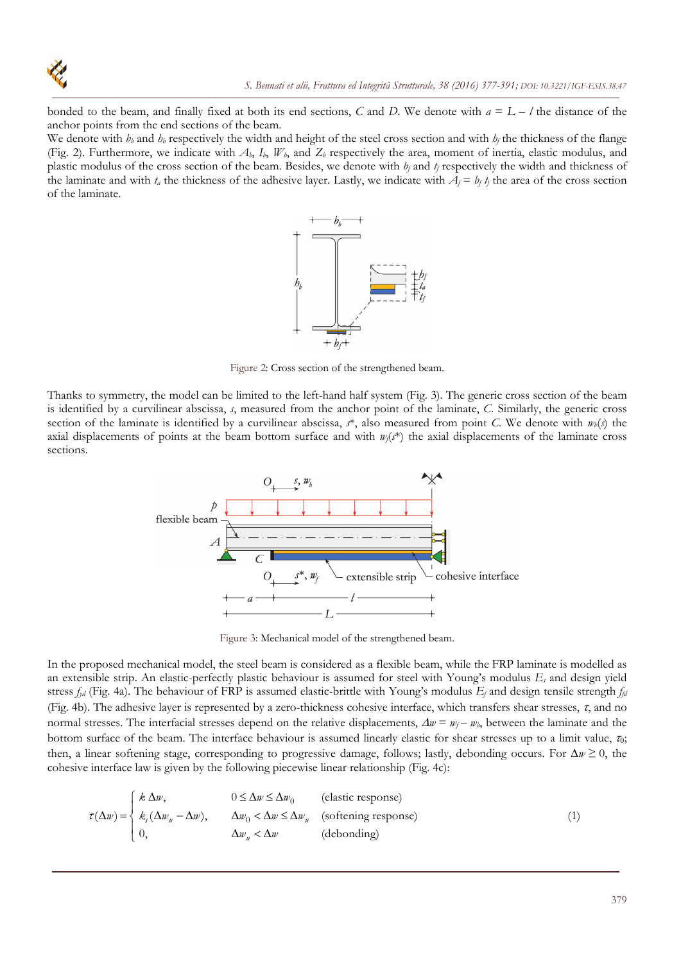

bonded to the beam, and finally fixed at both its end sections, C and D. We denote with  $a = L - l$  the distance of the anchor points from the end sections of the beam.

We denote with  $b_b$  and  $b_b$  respectively the width and height of the steel cross section and with  $b_f$  the thickness of the flange (Fig. 2). Furthermore, we indicate with  $A_b$ ,  $I_b$ ,  $W_b$ , and  $Z_b$  respectively the area, moment of inertia, elastic modulus, and plastic modulus of the cross section of the beam. Besides, we denote with *b<sub>f</sub>* and *t<sub>f</sub>* respectively the width and thickness of the laminate and with  $t_a$  the thickness of the adhesive layer. Lastly, we indicate with  $A_f = b_f t_f$  the area of the cross section of the laminate.



Figure 2: Cross section of the strengthened beam.

Thanks to symmetry, the model can be limited to the left-hand half system (Fig. 3). The generic cross section of the beam is identified by a curvilinear abscissa, *s*, measured from the anchor point of the laminate, *C*. Similarly, the generic cross section of the laminate is identified by a curvilinear abscissa,  $s^*$ , also measured from point *C*. We denote with  $w_b(s)$  the axial displacements of points at the beam bottom surface and with  $w_f(s^*)$  the axial displacements of the laminate cross sections.



Figure 3: Mechanical model of the strengthened beam.

In the proposed mechanical model, the steel beam is considered as a flexible beam, while the FRP laminate is modelled as an extensible strip. An elastic-perfectly plastic behaviour is assumed for steel with Young's modulus *Es* and design yield stress *fyd* (Fig. 4a). The behaviour of FRP is assumed elastic-brittle with Young's modulus *Ef* and design tensile strength *ffd* (Fig. 4b). The adhesive layer is represented by a zero-thickness cohesive interface, which transfers shear stresses,  $\tau$ , and no normal stresses. The interfacial stresses depend on the relative displacements,  $\Delta w = w_f - w_b$ , between the laminate and the bottom surface of the beam. The interface behaviour is assumed linearly elastic for shear stresses up to a limit value,  $\tau_0$ ; then, a linear softening stage, corresponding to progressive damage, follows; lastly, debonding occurs. For  $\Delta w \ge 0$ , the cohesive interface law is given by the following piecewise linear relationship (Fig. 4c):

$$
\tau(\Delta w) = \begin{cases}\nk \Delta w, & 0 \le \Delta w \le \Delta w_0 \quad \text{(elastic response)} \\
k_s(\Delta w_u - \Delta w), & \Delta w_0 < \Delta w \le \Delta w_u \quad \text{(softening response)} \\
0, & \Delta w_u < \Delta w \quad \text{(debonding)}\n\end{cases} \tag{1}
$$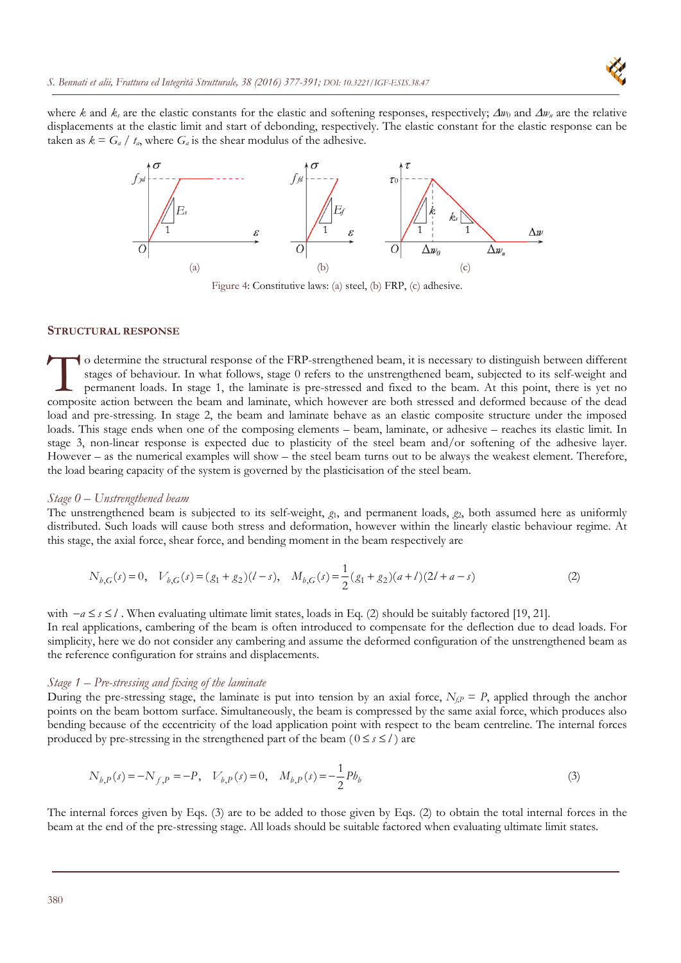where *k* and  $k_s$  are the elastic constants for the elastic and softening responses, respectively;  $\Delta w_0$  and  $\Delta w_u$  are the relative displacements at the elastic limit and start of debonding, respectively. The elastic constant for the elastic response can be taken as  $k = G_a / t_a$ , where  $G_a$  is the shear modulus of the adhesive.



Figure 4: Constitutive laws: (a) steel, (b) FRP, (c) adhesive.

# **STRUCTURAL RESPONSE**

o determine the structural response of the FRP-strengthened beam, it is necessary to distinguish between different stages of behaviour. In what follows, stage 0 refers to the unstrengthened beam, subjected to its self-weight and permanent loads. In stage 1, the laminate is pre-stressed and fixed to the beam. At this point, there is yet no o determine the structural response of the FRP-strengthened beam, it is necessary to distinguish between different stages of behaviour. In what follows, stage 0 refers to the unstrengthened beam, subjected to its self-weig load and pre-stressing. In stage 2, the beam and laminate behave as an elastic composite structure under the imposed loads. This stage ends when one of the composing elements – beam, laminate, or adhesive – reaches its elastic limit. In stage 3, non-linear response is expected due to plasticity of the steel beam and/or softening of the adhesive layer. However – as the numerical examples will show – the steel beam turns out to be always the weakest element. Therefore, the load bearing capacity of the system is governed by the plasticisation of the steel beam.

# *Stage 0 – Unstrengthened beam*

The unstrengthened beam is subjected to its self-weight, *g*1, and permanent loads, *g*2, both assumed here as uniformly distributed. Such loads will cause both stress and deformation, however within the linearly elastic behaviour regime. At this stage, the axial force, shear force, and bending moment in the beam respectively are

$$
N_{b,G}(s) = 0, \quad V_{b,G}(s) = (g_1 + g_2)(l - s), \quad M_{b,G}(s) = \frac{1}{2}(g_1 + g_2)(a + l)(2l + a - s)
$$
\n<sup>(2)</sup>

with  $-a \leq s \leq l$ . When evaluating ultimate limit states, loads in Eq. (2) should be suitably factored [19, 21].

In real applications, cambering of the beam is often introduced to compensate for the deflection due to dead loads. For simplicity, here we do not consider any cambering and assume the deformed configuration of the unstrengthened beam as the reference configuration for strains and displacements.

# *Stage 1 – Pre-stressing and fixing of the laminate*

During the pre-stressing stage, the laminate is put into tension by an axial force,  $N_{f,P} = P$ , applied through the anchor points on the beam bottom surface. Simultaneously, the beam is compressed by the same axial force, which produces also bending because of the eccentricity of the load application point with respect to the beam centreline. The internal forces produced by pre-stressing in the strengthened part of the beam  $(0 \le s \le l)$  are

$$
N_{b,P}(s) = -N_{f,P} = -P, \quad V_{b,P}(s) = 0, \quad M_{b,P}(s) = -\frac{1}{2}Pb_b
$$
\n<sup>(3)</sup>

The internal forces given by Eqs. (3) are to be added to those given by Eqs. (2) to obtain the total internal forces in the beam at the end of the pre-stressing stage. All loads should be suitable factored when evaluating ultimate limit states.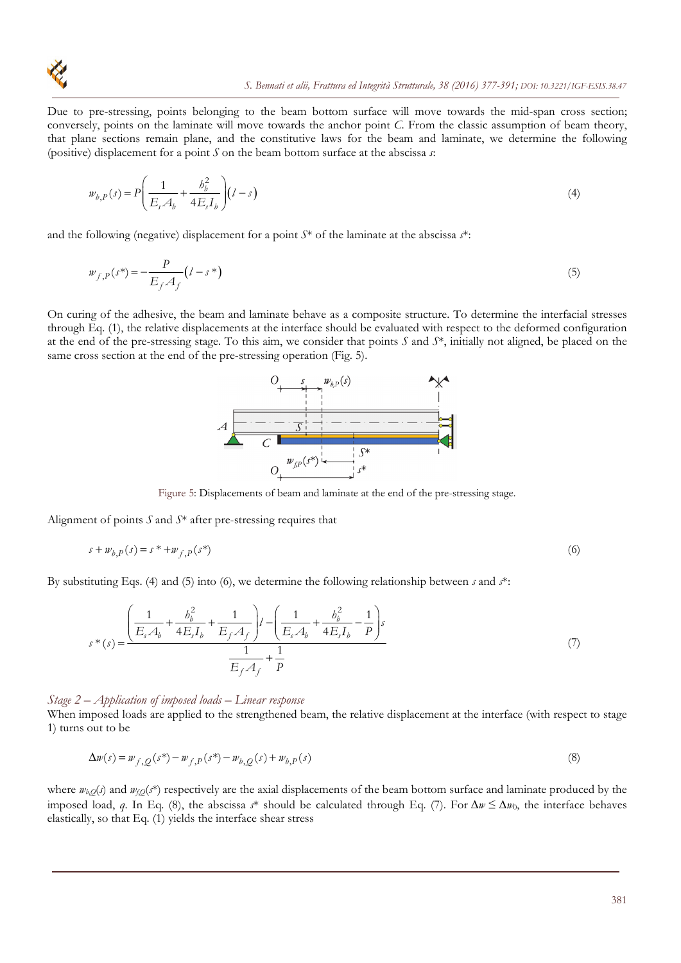Due to pre-stressing, points belonging to the beam bottom surface will move towards the mid-span cross section; conversely, points on the laminate will move towards the anchor point *C*. From the classic assumption of beam theory, that plane sections remain plane, and the constitutive laws for the beam and laminate, we determine the following (positive) displacement for a point *S* on the beam bottom surface at the abscissa *s*:

$$
w_{b,P}(s) = P\left(\frac{1}{E_s A_b} + \frac{b_b^2}{4E_s I_b}\right) (l - s)
$$
\n(4)

and the following (negative) displacement for a point *S*\* of the laminate at the abscissa *s*\*:

$$
w_{f,P}(s^*) = -\frac{P}{E_f A_f} (l - s^*)
$$
\n(5)

On curing of the adhesive, the beam and laminate behave as a composite structure. To determine the interfacial stresses through Eq. (1), the relative displacements at the interface should be evaluated with respect to the deformed configuration at the end of the pre-stressing stage. To this aim, we consider that points *S* and *S*\*, initially not aligned, be placed on the same cross section at the end of the pre-stressing operation (Fig. 5).



Figure 5: Displacements of beam and laminate at the end of the pre-stressing stage.

Alignment of points *S* and *S*\* after pre-stressing requires that

$$
s + w_{b,P}(s) = s^* + w_{f,P}(s^*)
$$
 (6)

By substituting Eqs. (4) and (5) into (6), we determine the following relationship between *s* and *s*\*:

$$
s^*(s) = \frac{\left(\frac{1}{E_s A_b} + \frac{b_b^2}{4E_s I_b} + \frac{1}{E_f A_f}\right)l - \left(\frac{1}{E_s A_b} + \frac{b_b^2}{4E_s I_b} - \frac{1}{P}\right)s}{\frac{1}{E_f A_f} + \frac{1}{P}}
$$
(7)

### *Stage 2 – Application of imposed loads – Linear response*

When imposed loads are applied to the strengthened beam, the relative displacement at the interface (with respect to stage 1) turns out to be

$$
\Delta w(s) = w_{f,Q}(s^*) - w_{f,P}(s^*) - w_{b,Q}(s) + w_{b,P}(s)
$$
\n(8)

where  $w_{b,Q}(s)$  and  $w_{i,Q}(s^*)$  respectively are the axial displacements of the beam bottom surface and laminate produced by the imposed load, *q*. In Eq. (8), the abscissa *s*<sup>\*</sup> should be calculated through Eq. (7). For  $\Delta w \leq \Delta w_0$ , the interface behaves elastically, so that Eq. (1) yields the interface shear stress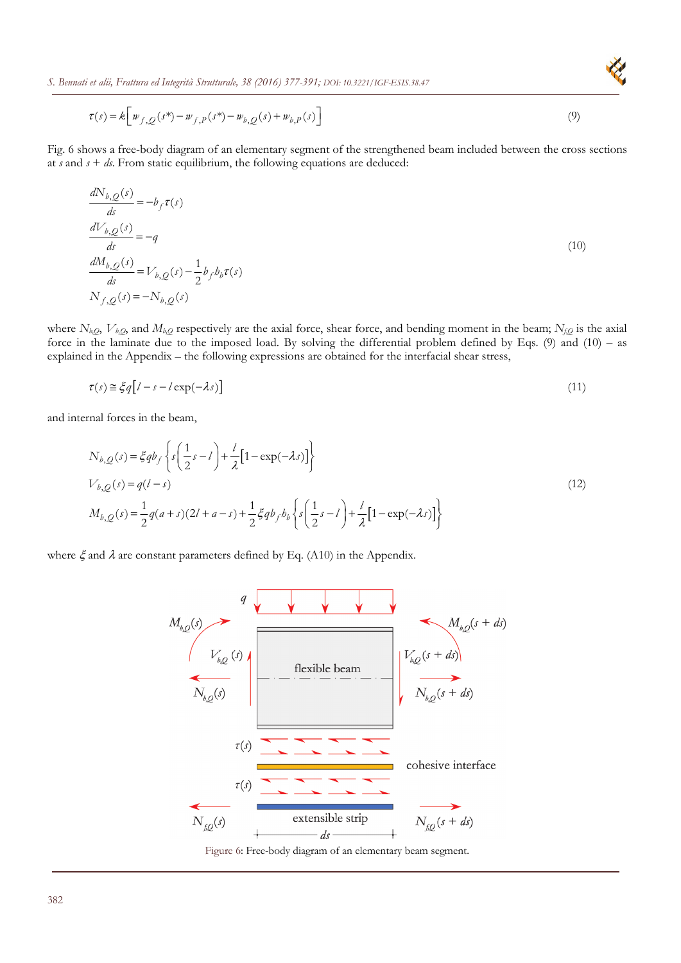$$
\tau(s) = k \left[ w_{f,Q}(s^*) - w_{f,P}(s^*) - w_{b,Q}(s) + w_{b,P}(s) \right]
$$
\n(9)

Fig. 6 shows a free-body diagram of an elementary segment of the strengthened beam included between the cross sections at  $s$  and  $s + ds$ . From static equilibrium, the following equations are deduced:

$$
\frac{dN_{b,Q}(s)}{ds} = -b_f \tau(s)
$$
\n
$$
\frac{dV_{b,Q}(s)}{ds} = -q
$$
\n
$$
\frac{dM_{b,Q}(s)}{ds} = V_{b,Q}(s) - \frac{1}{2} b_f b_b \tau(s)
$$
\n
$$
N_{f,Q}(s) = -N_{b,Q}(s)
$$
\n(10)

where *Nb,Q*, *Vb,Q*, and *Mb,Q* respectively are the axial force, shear force, and bending moment in the beam; *Nf*,*Q* is the axial force in the laminate due to the imposed load. By solving the differential problem defined by Eqs. (9) and (10) – as explained in the Appendix – the following expressions are obtained for the interfacial shear stress,

$$
\tau(s) \approx \xi q \left[ l - s - l \exp(-\lambda s) \right] \tag{11}
$$

and internal forces in the beam,

$$
N_{b,Q}(s) = \xi q b_f \left\{ s \left( \frac{1}{2} s - l \right) + \frac{l}{\lambda} \left[ 1 - \exp(-\lambda s) \right] \right\}
$$
  
\n
$$
V_{b,Q}(s) = q(l - s)
$$
  
\n
$$
M_{b,Q}(s) = \frac{1}{2} q(a + s)(2l + a - s) + \frac{1}{2} \xi q b_f b_b \left\{ s \left( \frac{1}{2} s - l \right) + \frac{l}{\lambda} \left[ 1 - \exp(-\lambda s) \right] \right\}
$$
\n(12)

where  $\xi$  and  $\lambda$  are constant parameters defined by Eq. (A10) in the Appendix.



Figure 6: Free-body diagram of an elementary beam segment.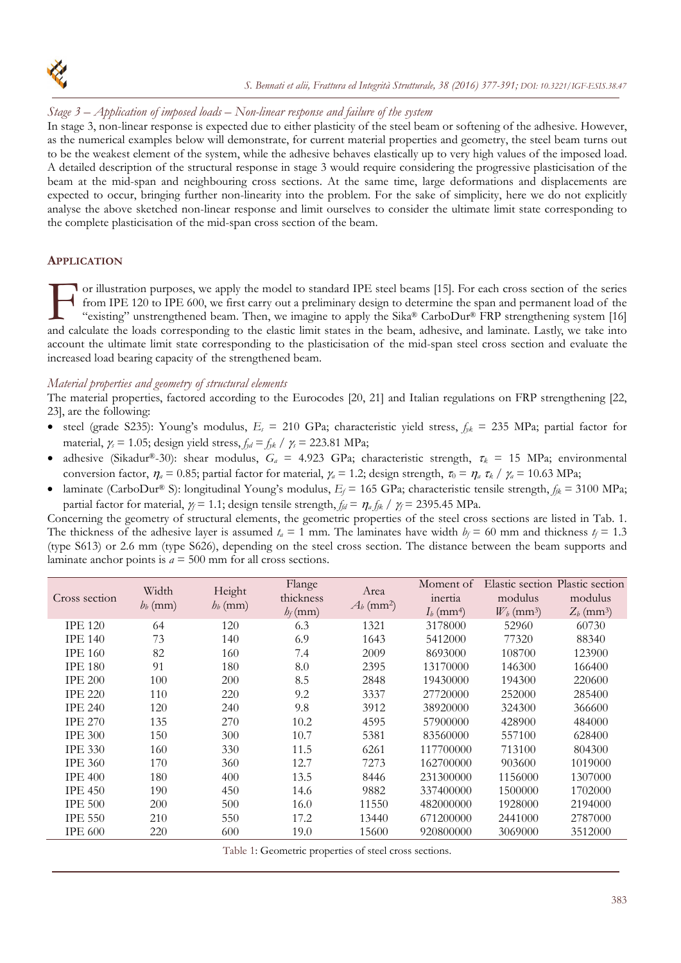

# *Stage 3 – Application of imposed loads – Non-linear response and failure of the system*

In stage 3, non-linear response is expected due to either plasticity of the steel beam or softening of the adhesive. However, as the numerical examples below will demonstrate, for current material properties and geometry, the steel beam turns out to be the weakest element of the system, while the adhesive behaves elastically up to very high values of the imposed load. A detailed description of the structural response in stage 3 would require considering the progressive plasticisation of the beam at the mid-span and neighbouring cross sections. At the same time, large deformations and displacements are expected to occur, bringing further non-linearity into the problem. For the sake of simplicity, here we do not explicitly analyse the above sketched non-linear response and limit ourselves to consider the ultimate limit state corresponding to the complete plasticisation of the mid-span cross section of the beam.

# **APPLICATION**

or illustration purposes, we apply the model to standard IPE steel beams [15]. For each cross section of the series from IPE 120 to IPE 600, we first carry out a preliminary design to determine the span and permanent load of the "existing" unstrengthened beam. Then, we imagine to apply the  $Sika^{\circledast}$  CarboDur<sup>®</sup> FRP strengthening system [16] and calculate the loads corresponding to the elastic limit states in the beam, adhesive, and laminate. Lastly, we take into the loads corresponding to the elastic limit states in the beam, adhesive, and laminate. Lastly, w account the ultimate limit state corresponding to the plasticisation of the mid-span steel cross section and evaluate the increased load bearing capacity of the strengthened beam.

# *Material properties and geometry of structural elements*

The material properties, factored according to the Eurocodes [20, 21] and Italian regulations on FRP strengthening [22, 23], are the following:

- steel (grade S235): Young's modulus,  $E_s = 210$  GPa; characteristic yield stress,  $f_{jk} = 235$  MPa; partial factor for material,  $\gamma_s = 1.05$ ; design yield stress,  $f_{yd} = f_{yk} / \gamma_s = 223.81$  MPa;
- adhesive (Sikadur®-30): shear modulus, *G<sub>a</sub>* = 4.923 GPa; characteristic strength,  $\tau_k$  = 15 MPa; environmental conversion factor,  $\eta_a = 0.85$ ; partial factor for material,  $\gamma_a = 1.2$ ; design strength,  $\tau_0 = \eta_a \tau_k / \gamma_a = 10.63 \text{ MPa}$ ;
- laminate (CarboDur® S): longitudinal Young's modulus, *Ef* = 165 GPa; characteristic tensile strength, *ffk* = 3100 MPa; partial factor for material,  $\gamma = 1.1$ ; design tensile strength,  $f_{\theta} = \eta_a f_{\beta}$  /  $\gamma_f = 2395.45 \text{ MPa}$ .

Concerning the geometry of structural elements, the geometric properties of the steel cross sections are listed in Tab. 1. The thickness of the adhesive layer is assumed  $t_a = 1$  mm. The laminates have width  $b_f = 60$  mm and thickness  $t_f = 1.3$ (type S613) or 2.6 mm (type S626), depending on the steel cross section. The distance between the beam supports and laminate anchor points is  $a = 500$  mm for all cross sections.

| Cross section  | Width<br>$b_b$ (mm) | Height<br>$h_b$ (mm) | Flange<br>thickness<br>$h_f$ (mm) | Area<br>$A_b$ (mm <sup>2</sup> ) | Moment of<br>inertia<br>$I_b$ (mm <sup>4</sup> ) | modulus<br>$W_b$ (mm <sup>3</sup> ) | Elastic section Plastic section<br>modulus<br>$Z_b$ (mm <sup>3</sup> ) |
|----------------|---------------------|----------------------|-----------------------------------|----------------------------------|--------------------------------------------------|-------------------------------------|------------------------------------------------------------------------|
| <b>IPE 120</b> | 64                  | 120                  | 6.3                               | 1321                             | 3178000                                          | 52960                               | 60730                                                                  |
| <b>IPE 140</b> | 73                  | 140                  | 6.9                               | 1643                             | 5412000                                          | 77320                               | 88340                                                                  |
| <b>IPE 160</b> | 82                  | 160                  | 7.4                               | 2009                             | 8693000                                          | 108700                              | 123900                                                                 |
| <b>IPE 180</b> | 91                  | 180                  | 8.0                               | 2395                             | 13170000                                         | 146300                              | 166400                                                                 |
| <b>IPE 200</b> | 100                 | 200                  | 8.5                               | 2848                             | 19430000                                         | 194300                              | 220600                                                                 |
| <b>IPE 220</b> | 110                 | 220                  | 9.2                               | 3337                             | 27720000                                         | 252000                              | 285400                                                                 |
| <b>IPE 240</b> | 120                 | 240                  | 9.8                               | 3912                             | 38920000                                         | 324300                              | 366600                                                                 |
| <b>IPE 270</b> | 135                 | 270                  | 10.2                              | 4595                             | 57900000                                         | 428900                              | 484000                                                                 |
| <b>IPE 300</b> | 150                 | 300                  | 10.7                              | 5381                             | 83560000                                         | 557100                              | 628400                                                                 |
| <b>IPE 330</b> | 160                 | 330                  | 11.5                              | 6261                             | 117700000                                        | 713100                              | 804300                                                                 |
| <b>IPE 360</b> | 170                 | 360                  | 12.7                              | 7273                             | 162700000                                        | 903600                              | 1019000                                                                |
| <b>IPE 400</b> | 180                 | 400                  | 13.5                              | 8446                             | 231300000                                        | 1156000                             | 1307000                                                                |
| <b>IPE 450</b> | 190                 | 450                  | 14.6                              | 9882                             | 337400000                                        | 1500000                             | 1702000                                                                |
| <b>IPE 500</b> | 200                 | 500                  | 16.0                              | 11550                            | 482000000                                        | 1928000                             | 2194000                                                                |
| <b>IPE 550</b> | 210                 | 550                  | 17.2                              | 13440                            | 671200000                                        | 2441000                             | 2787000                                                                |
| <b>IPE 600</b> | 220                 | 600                  | 19.0                              | 15600                            | 920800000                                        | 3069000                             | 3512000                                                                |

Table 1: Geometric properties of steel cross sections.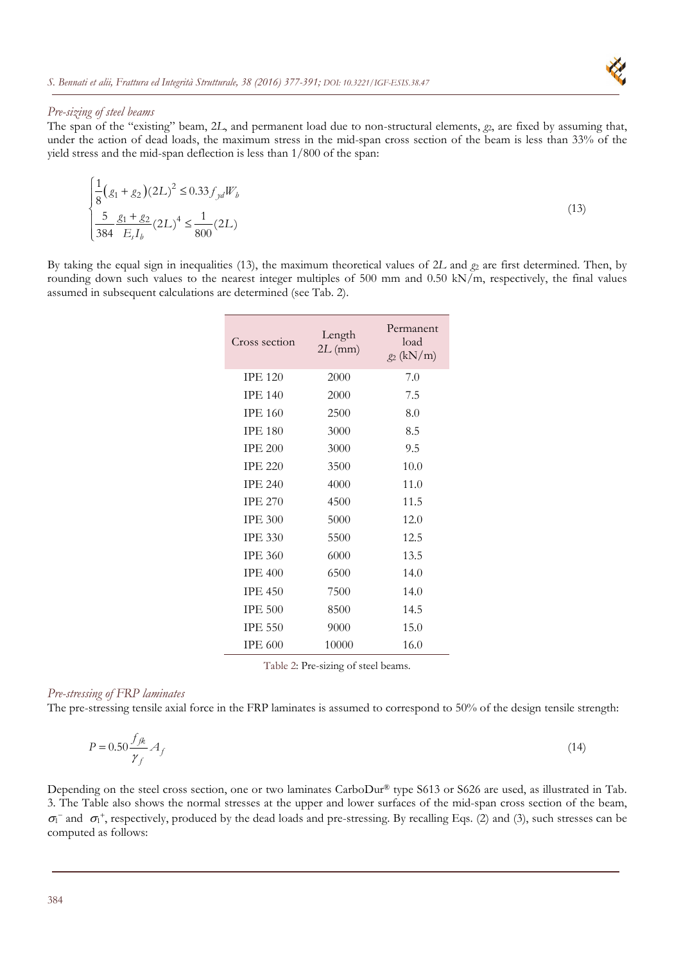

# *Pre-sizing of steel beams*

The span of the "existing" beam, 2L, and permanent load due to non-structural elements,  $g_2$ , are fixed by assuming that, under the action of dead loads, the maximum stress in the mid-span cross section of the beam is less than 33% of the yield stress and the mid-span deflection is less than 1/800 of the span:

$$
\begin{cases} \frac{1}{8} (g_1 + g_2)(2L)^2 \le 0.33 f_{yd} W_b \\ \frac{5}{384} \frac{g_1 + g_2}{E_s I_b} (2L)^4 \le \frac{1}{800} (2L) \end{cases}
$$
(13)

By taking the equal sign in inequalities (13), the maximum theoretical values of 2*L* and  $g_2$  are first determined. Then, by rounding down such values to the nearest integer multiples of 500 mm and 0.50 kN/m, respectively, the final values assumed in subsequent calculations are determined (see Tab. 2).

| Cross section  | Length<br>$2L$ (mm) | Permanent<br>load<br>$g_2$ (kN/m) |
|----------------|---------------------|-----------------------------------|
| <b>IPE 120</b> | 2000                | 7.0                               |
| <b>IPE 140</b> | 2000                | 7.5                               |
| <b>IPE 160</b> | 2500                | 8.0                               |
| <b>IPE 180</b> | 3000                | 8.5                               |
| <b>IPE 200</b> | 3000                | 9.5                               |
| <b>IPE 220</b> | 3500                | 10.0                              |
| <b>IPE 240</b> | 4000                | 11.0                              |
| <b>IPE 270</b> | 4500                | 11.5                              |
| <b>IPE 300</b> | 5000                | 12.0                              |
| <b>IPE 330</b> | 5500                | 12.5                              |
| <b>IPE 360</b> | 6000                | 13.5                              |
| <b>IPE 400</b> | 6500                | 14.0                              |
| <b>IPE 450</b> | 7500                | 14.0                              |
| <b>IPE 500</b> | 8500                | 14.5                              |
| <b>IPE 550</b> | 9000                | 15.0                              |
| <b>IPE 600</b> | 10000               | 16.0                              |

Table 2: Pre-sizing of steel beams.

# *Pre-stressing of FRP laminates*

The pre-stressing tensile axial force in the FRP laminates is assumed to correspond to 50% of the design tensile strength:

$$
P = 0.50 \frac{f_{jk}}{\gamma_f} A_f \tag{14}
$$

Depending on the steel cross section, one or two laminates CarboDur® type S613 or S626 are used, as illustrated in Tab. 3. The Table also shows the normal stresses at the upper and lower surfaces of the mid-span cross section of the beam,  $\sigma_1^-$  and  $\sigma_1^+$ , respectively, produced by the dead loads and pre-stressing. By recalling Eqs. (2) and (3), such stresses can be computed as follows: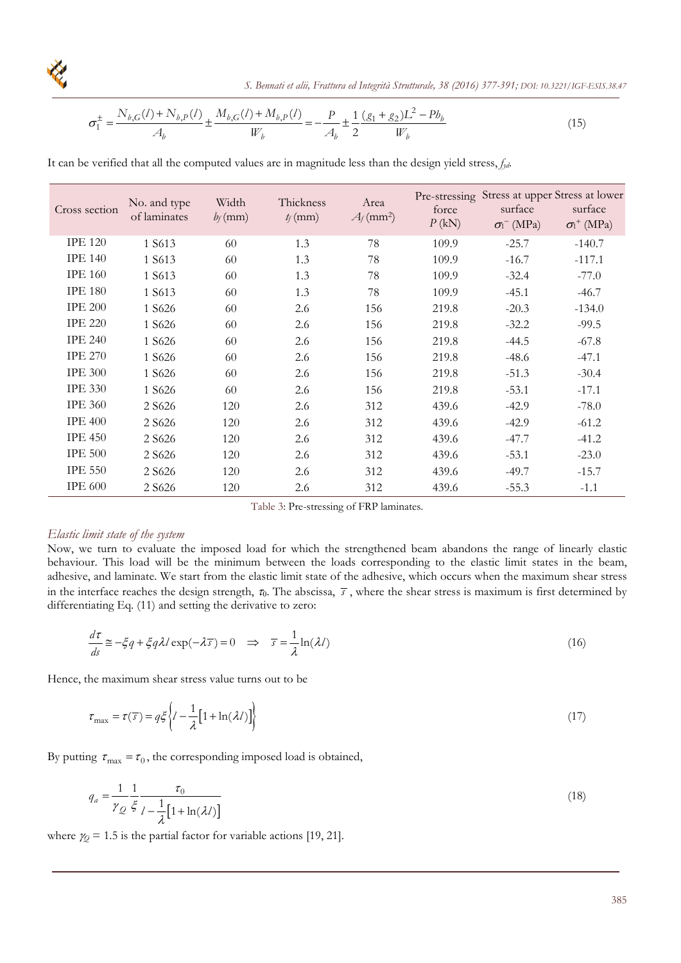

 *S. Bennati et alii, Frattura ed Integrità Strutturale, 38 (2016) 377-391; DOI: 10.3221/IGF-ESIS.38.47*

$$
\sigma_1^{\pm} = \frac{N_{b,G}(l) + N_{b,P}(l)}{A_b} \pm \frac{M_{b,G}(l) + M_{b,P}(l)}{W_b} = -\frac{P}{A_b} \pm \frac{1}{2} \frac{(g_1 + g_2)L^2 - Pb_b}{W_b}
$$
(15)

It can be verified that all the computed values are in magnitude less than the design yield stress, *fyd*.

| Cross section  | No. and type<br>of laminates | Width<br>$b_f$ (mm) | Thickness<br>$t_f$ (mm) | Area<br>$A_f$ (mm <sup>2</sup> ) | force<br>P(kN) | surface<br>$\sigma_1$ <sup>-</sup> (MPa) | Pre-stressing Stress at upper Stress at lower<br>surface<br>$\sigma_1$ <sup>+</sup> (MPa) |
|----------------|------------------------------|---------------------|-------------------------|----------------------------------|----------------|------------------------------------------|-------------------------------------------------------------------------------------------|
| <b>IPE 120</b> | 1 S613                       | 60                  | 1.3                     | 78                               | 109.9          | $-25.7$                                  | $-140.7$                                                                                  |
| <b>IPE 140</b> | 1 S613                       | 60                  | 1.3                     | 78                               | 109.9          | $-16.7$                                  | $-117.1$                                                                                  |
| <b>IPE 160</b> | 1 S613                       | 60                  | 1.3                     | 78                               | 109.9          | $-32.4$                                  | $-77.0$                                                                                   |
| <b>IPE 180</b> | 1 S613                       | 60                  | 1.3                     | 78                               | 109.9          | $-45.1$                                  | $-46.7$                                                                                   |
| <b>IPE 200</b> | 1 S626                       | 60                  | 2.6                     | 156                              | 219.8          | $-20.3$                                  | $-134.0$                                                                                  |
| <b>IPE 220</b> | 1 S626                       | 60                  | 2.6                     | 156                              | 219.8          | $-32.2$                                  | $-99.5$                                                                                   |
| <b>IPE 240</b> | 1 S626                       | 60                  | 2.6                     | 156                              | 219.8          | $-44.5$                                  | $-67.8$                                                                                   |
| <b>IPE 270</b> | 1 S626                       | 60                  | 2.6                     | 156                              | 219.8          | $-48.6$                                  | $-47.1$                                                                                   |
| <b>IPE 300</b> | 1 S626                       | 60                  | 2.6                     | 156                              | 219.8          | $-51.3$                                  | $-30.4$                                                                                   |
| <b>IPE 330</b> | 1 S626                       | 60                  | 2.6                     | 156                              | 219.8          | $-53.1$                                  | $-17.1$                                                                                   |
| <b>IPE 360</b> | 2 S626                       | 120                 | 2.6                     | 312                              | 439.6          | $-42.9$                                  | $-78.0$                                                                                   |
| <b>IPE 400</b> | 2 S626                       | 120                 | 2.6                     | 312                              | 439.6          | $-42.9$                                  | $-61.2$                                                                                   |
| <b>IPE 450</b> | 2 S626                       | 120                 | 2.6                     | 312                              | 439.6          | $-47.7$                                  | $-41.2$                                                                                   |
| <b>IPE 500</b> | 2 S626                       | 120                 | 2.6                     | 312                              | 439.6          | $-53.1$                                  | $-23.0$                                                                                   |
| <b>IPE 550</b> | 2 S626                       | 120                 | 2.6                     | 312                              | 439.6          | $-49.7$                                  | $-15.7$                                                                                   |
| <b>IPE 600</b> | 2 S626                       | 120                 | 2.6                     | 312                              | 439.6          | $-55.3$                                  | $-1.1$                                                                                    |

### *Elastic limit state of the system*

Now, we turn to evaluate the imposed load for which the strengthened beam abandons the range of linearly elastic behaviour. This load will be the minimum between the loads corresponding to the elastic limit states in the beam, adhesive, and laminate. We start from the elastic limit state of the adhesive, which occurs when the maximum shear stress in the interface reaches the design strength,  $\tau_0$ . The abscissa,  $\bar{s}$ , where the shear stress is maximum is first determined by differentiating Eq. (11) and setting the derivative to zero:

$$
\frac{d\tau}{ds} \approx -\xi q + \xi q \lambda l \exp(-\lambda \overline{s}) = 0 \implies \overline{s} = \frac{1}{\lambda} \ln(\lambda l)
$$
\n(16)

Hence, the maximum shear stress value turns out to be

$$
\tau_{\text{max}} = \tau(\overline{s}) = q\xi \left\{ l - \frac{1}{\lambda} \left[ 1 + \ln(\lambda l) \right] \right\} \tag{17}
$$

By putting  $\tau_{\text{max}} = \tau_0$ , the corresponding imposed load is obtained,

$$
q_a = \frac{1}{\gamma_Q} \frac{1}{\xi} \frac{\tau_0}{l - \frac{1}{\lambda} [1 + \ln(\lambda l)]}
$$
(18)

where  $\gamma_0 = 1.5$  is the partial factor for variable actions [19, 21].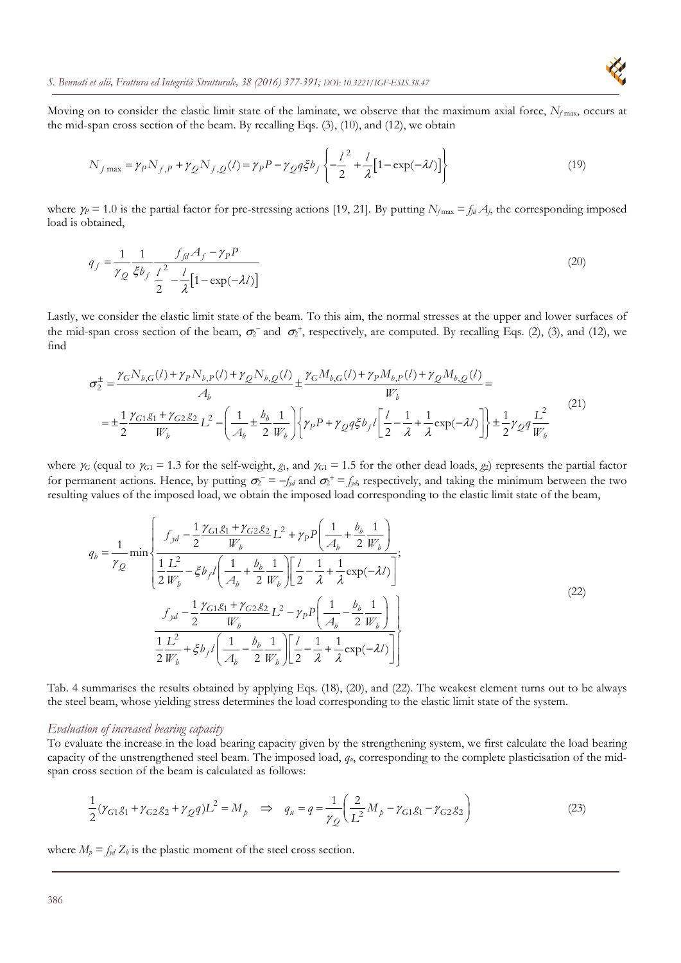Moving on to consider the elastic limit state of the laminate, we observe that the maximum axial force,  $N<sub>f</sub>$ <sub>max</sub>, occurs at the mid-span cross section of the beam. By recalling Eqs. (3), (10), and (12), we obtain

$$
N_{f\max} = \gamma_P N_{f,P} + \gamma_Q N_{f,Q}(l) = \gamma_P P - \gamma_Q q \xi b_f \left\{ -\frac{l^2}{2} + \frac{l}{\lambda} \left[ 1 - \exp(-\lambda l) \right] \right\}
$$
(19)

where  $\gamma_p = 1.0$  is the partial factor for pre-stressing actions [19, 21]. By putting  $N_{fmax} = f_{fd} A_f$ , the corresponding imposed load is obtained,

$$
q_f = \frac{1}{\gamma_Q} \frac{1}{\xi b_f} \frac{f_{j d} A_f - \gamma_P P}{\frac{1}{2} - \frac{l}{\lambda} [1 - \exp(-\lambda l)]}
$$
(20)

Lastly, we consider the elastic limit state of the beam. To this aim, the normal stresses at the upper and lower surfaces of the mid-span cross section of the beam,  $\sigma_2^-$  and  $\sigma_2^+$ , respectively, are computed. By recalling Eqs. (2), (3), and (12), we find

$$
\sigma_2^{\pm} = \frac{\gamma_G N_{b,G}(l) + \gamma_P N_{b,P}(l) + \gamma_Q N_{b,Q}(l)}{A_b} \pm \frac{\gamma_G M_{b,G}(l) + \gamma_P M_{b,P}(l) + \gamma_Q M_{b,Q}(l)}{W_b} =
$$
\n
$$
= \pm \frac{1}{2} \frac{\gamma_{G1} g_1 + \gamma_{G2} g_2}{W_b} L^2 - \left( \frac{1}{A_b} \pm \frac{b_b}{2} \frac{1}{W_b} \right) \left\{ \gamma_P P + \gamma_Q q \xi b_f l \left[ \frac{l}{2} - \frac{1}{\lambda} + \frac{1}{\lambda} \exp(-\lambda l) \right] \right\} \pm \frac{1}{2} \gamma_Q q \frac{L^2}{W_b}
$$
\n(21)

where  $\gamma_G$  (equal to  $\gamma_{G1} = 1.3$  for the self-weight,  $g_1$ , and  $\gamma_{G1} = 1.5$  for the other dead loads,  $g_2$ ) represents the partial factor for permanent actions. Hence, by putting  $\sigma_2 = -f_{yd}$  and  $\sigma_2^+ = f_{yd}$ , respectively, and taking the minimum between the two resulting values of the imposed load, we obtain the imposed load corresponding to the elastic limit state of the beam,

$$
q_{b} = \frac{1}{\gamma_{Q}} \min \left\{ \frac{f_{yd} - \frac{1}{2} \frac{\gamma_{G1} g_{1} + \gamma_{G2} g_{2}}{W_{b}} L^{2} + \gamma_{P} P \left( \frac{1}{A_{b}} + \frac{b_{b}}{2} \frac{1}{W_{b}} \right)}{\frac{1}{2} \frac{L^{2}}{W_{b}} - \xi b_{f} l \left( \frac{1}{A_{b}} + \frac{b_{b}}{2} \frac{1}{W_{b}} \right) \left[ \frac{l}{2} - \frac{1}{\lambda} + \frac{1}{\lambda} \exp(-\lambda l) \right]};
$$
\n
$$
\frac{f_{yd} - \frac{1}{2} \frac{\gamma_{G1} g_{1} + \gamma_{G2} g_{2}}{W_{b}} L^{2} - \gamma_{P} P \left( \frac{1}{A_{b}} - \frac{b_{b}}{2} \frac{1}{W_{b}} \right)}{\frac{1}{2} \frac{L^{2}}{W_{b}} + \xi b_{f} l \left( \frac{1}{A_{b}} - \frac{b_{b}}{2} \frac{1}{W_{b}} \right) \left[ \frac{l}{2} - \frac{1}{\lambda} + \frac{1}{\lambda} \exp(-\lambda l) \right]}\n\tag{22}
$$

Tab. 4 summarises the results obtained by applying Eqs. (18), (20), and (22). The weakest element turns out to be always the steel beam, whose yielding stress determines the load corresponding to the elastic limit state of the system.

#### *Evaluation of increased bearing capacity*

To evaluate the increase in the load bearing capacity given by the strengthening system, we first calculate the load bearing capacity of the unstrengthened steel beam. The imposed load, *qu*, corresponding to the complete plasticisation of the midspan cross section of the beam is calculated as follows:

$$
\frac{1}{2}(\gamma_{G1}g_1 + \gamma_{G2}g_2 + \gamma_{Q}q)L^2 = M_p \implies q_u = q = \frac{1}{\gamma_Q} \left(\frac{2}{L^2}M_p - \gamma_{G1}g_1 - \gamma_{G2}g_2\right)
$$
(23)

where  $M_p = f_{yd} Z_b$  is the plastic moment of the steel cross section.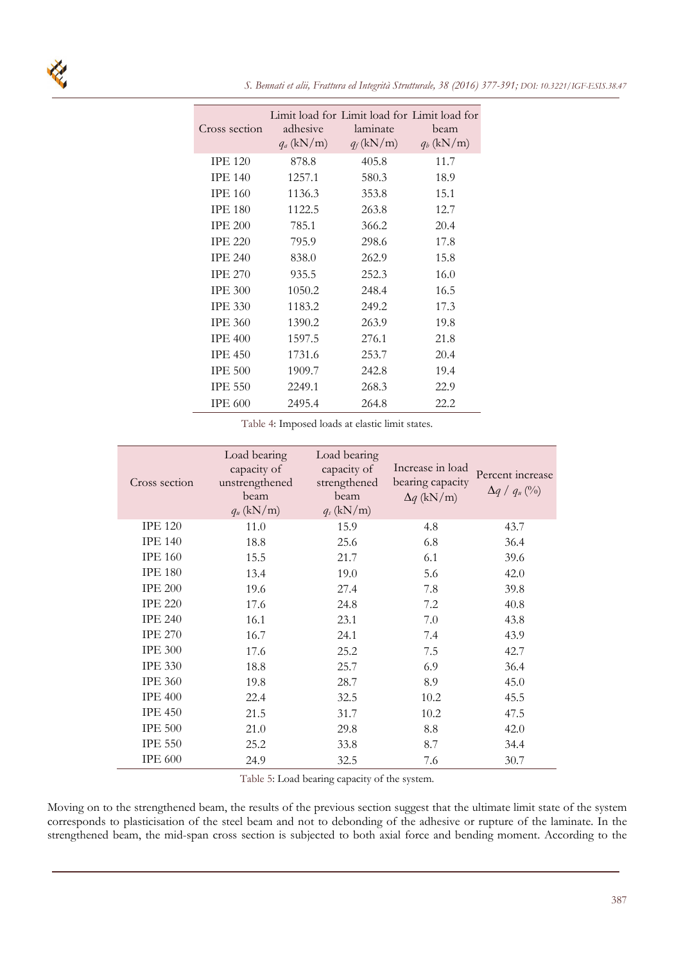| Cross section  | adhesive<br>$q_a$ (kN/m) | Limit load for Limit load for Limit load for<br>laminate<br>$q_f(kN/m)$ | beam<br>$q_b$ (kN/m) |
|----------------|--------------------------|-------------------------------------------------------------------------|----------------------|
| <b>IPE 120</b> | 878.8                    | 405.8                                                                   | 11.7                 |
| <b>IPE 140</b> | 1257.1                   | 580.3                                                                   | 18.9                 |
| <b>IPE 160</b> | 1136.3                   | 353.8                                                                   | 15.1                 |
| <b>IPE 180</b> | 1122.5                   | 263.8                                                                   | 12.7                 |
| <b>IPE 200</b> | 785.1                    | 366.2                                                                   | 20.4                 |
| <b>IPE 220</b> | 795.9                    | 298.6                                                                   | 17.8                 |
| <b>IPE 240</b> | 838.0                    | 262.9                                                                   | 15.8                 |
| <b>IPE 270</b> | 935.5                    | 252.3                                                                   | 16.0                 |
| <b>IPE 300</b> | 1050.2                   | 248.4                                                                   | 16.5                 |
| <b>IPE 330</b> | 1183.2                   | 249.2                                                                   | 17.3                 |
| <b>IPE 360</b> | 1390.2                   | 263.9                                                                   | 19.8                 |
| <b>IPE 400</b> | 1597.5                   | 276.1                                                                   | 21.8                 |
| <b>IPE 450</b> | 1731.6                   | 253.7                                                                   | 20.4                 |
| <b>IPE 500</b> | 1909.7                   | 242.8                                                                   | 19.4                 |
| <b>IPE 550</b> | 2249.1                   | 268.3                                                                   | 22.9                 |
| <b>IPE 600</b> | 2495.4                   | 264.8                                                                   | 22.2.                |

Table 4: Imposed loads at elastic limit states.

| Cross section  | Load bearing<br>capacity of<br>unstrengthened<br>beam<br>$q_u$ (kN/m) | Load bearing<br>capacity of<br>strengthened<br>beam<br>$q_s$ (kN/m) | Increase in load<br>bearing capacity<br>$\Delta q$ (kN/m) | Percent increase<br>$\Delta q / q_{\mu}$ (%) |
|----------------|-----------------------------------------------------------------------|---------------------------------------------------------------------|-----------------------------------------------------------|----------------------------------------------|
| <b>IPE 120</b> | 11.0                                                                  | 15.9                                                                | 4.8                                                       | 43.7                                         |
| <b>IPE 140</b> | 18.8                                                                  | 25.6                                                                | 6.8                                                       | 36.4                                         |
| <b>IPE 160</b> | 15.5                                                                  | 21.7                                                                | 6.1                                                       | 39.6                                         |
| <b>IPE 180</b> | 13.4                                                                  | 19.0                                                                | 5.6                                                       | 42.0                                         |
| <b>IPE 200</b> | 19.6                                                                  | 27.4                                                                | 7.8                                                       | 39.8                                         |
| <b>IPE 220</b> | 17.6                                                                  | 24.8                                                                | 7.2                                                       | 40.8                                         |
| <b>IPE 240</b> | 16.1                                                                  | 23.1                                                                | 7.0                                                       | 43.8                                         |
| <b>IPE 270</b> | 16.7                                                                  | 24.1                                                                | 7.4                                                       | 43.9                                         |
| <b>IPE 300</b> | 17.6                                                                  | 25.2                                                                | 7.5                                                       | 42.7                                         |
| <b>IPE 330</b> | 18.8                                                                  | 25.7                                                                | 6.9                                                       | 36.4                                         |
| <b>IPE 360</b> | 19.8                                                                  | 28.7                                                                | 8.9                                                       | 45.0                                         |
| <b>IPE 400</b> | 22.4                                                                  | 32.5                                                                | 10.2                                                      | 45.5                                         |
| <b>IPE 450</b> | 21.5                                                                  | 31.7                                                                | 10.2                                                      | 47.5                                         |
| <b>IPE 500</b> | 21.0                                                                  | 29.8                                                                | 8.8                                                       | 42.0                                         |
| <b>IPE 550</b> | 25.2                                                                  | 33.8                                                                | 8.7                                                       | 34.4                                         |
| <b>IPE 600</b> | 24.9                                                                  | 32.5                                                                | 7.6                                                       | 30.7                                         |

Table 5: Load bearing capacity of the system.

Moving on to the strengthened beam, the results of the previous section suggest that the ultimate limit state of the system corresponds to plasticisation of the steel beam and not to debonding of the adhesive or rupture of the laminate. In the strengthened beam, the mid-span cross section is subjected to both axial force and bending moment. According to the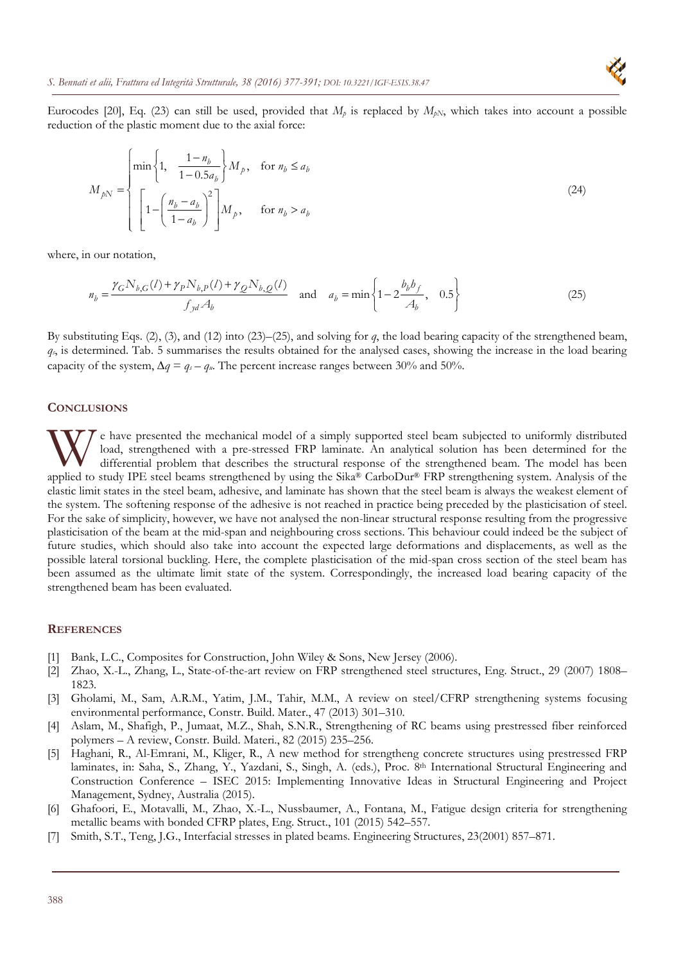Eurocodes [20], Eq. (23) can still be used, provided that  $M_p$  is replaced by  $M_{pN}$ , which takes into account a possible reduction of the plastic moment due to the axial force:

$$
M_{pN} = \begin{cases} \min\left\{1, \frac{1 - n_b}{1 - 0.5a_b}\right\} M_p, & \text{for } n_b \le a_b \\ \left[1 - \left(\frac{n_b - a_b}{1 - a_b}\right)^2\right] M_p, & \text{for } n_b > a_b \end{cases}
$$
 (24)

where, in our notation,

$$
n_b = \frac{\gamma_G N_{b,G}(l) + \gamma_P N_{b,P}(l) + \gamma_Q N_{b,Q}(l)}{f_{yd} A_b}
$$
 and 
$$
a_b = \min \left\{ 1 - 2 \frac{b_b b_f}{A_b}, 0.5 \right\}
$$
 (25)

By substituting Eqs. (2), (3), and (12) into (23)–(25), and solving for *q*, the load bearing capacity of the strengthened beam, *qs*, is determined. Tab. 5 summarises the results obtained for the analysed cases, showing the increase in the load bearing capacity of the system,  $\Delta q = q_s - q_u$ . The percent increase ranges between 30% and 50%.

#### **CONCLUSIONS**

e have presented the mechanical model of a simply supported steel beam subjected to uniformly distributed load, strengthened with a pre-stressed FRP laminate. An analytical solution has been determined for the differential problem that describes the structural response of the strengthened beam. The model has been W e have presented the mechanical model of a simply supported steel beam subjected to uniformly distributed load, strengthened with a pre-stressed FRP laminate. An analytical solution has been determined for the differenti elastic limit states in the steel beam, adhesive, and laminate has shown that the steel beam is always the weakest element of the system. The softening response of the adhesive is not reached in practice being preceded by the plasticisation of steel. For the sake of simplicity, however, we have not analysed the non-linear structural response resulting from the progressive plasticisation of the beam at the mid-span and neighbouring cross sections. This behaviour could indeed be the subject of future studies, which should also take into account the expected large deformations and displacements, as well as the possible lateral torsional buckling. Here, the complete plasticisation of the mid-span cross section of the steel beam has been assumed as the ultimate limit state of the system. Correspondingly, the increased load bearing capacity of the strengthened beam has been evaluated.

#### **REFERENCES**

- [1] Bank, L.C., Composites for Construction, John Wiley & Sons, New Jersey (2006).
- [2] Zhao, X.-L., Zhang, L., State-of-the-art review on FRP strengthened steel structures, Eng. Struct., 29 (2007) 1808– 1823.
- [3] Gholami, M., Sam, A.R.M., Yatim, J.M., Tahir, M.M., A review on steel/CFRP strengthening systems focusing environmental performance, Constr. Build. Mater., 47 (2013) 301–310.
- [4] Aslam, M., Shafigh, P., Jumaat, M.Z., Shah, S.N.R., Strengthening of RC beams using prestressed fiber reinforced polymers – A review, Constr. Build. Materi., 82 (2015) 235–256.
- [5] Haghani, R., Al-Emrani, M., Kliger, R., A new method for strengtheng concrete structures using prestressed FRP laminates, in: Saha, S., Zhang, Y., Yazdani, S., Singh, A. (eds.), Proc. 8th International Structural Engineering and Construction Conference – ISEC 2015: Implementing Innovative Ideas in Structural Engineering and Project Management, Sydney, Australia (2015).
- [6] Ghafoori, E., Motavalli, M., Zhao, X.-L., Nussbaumer, A., Fontana, M., Fatigue design criteria for strengthening metallic beams with bonded CFRP plates, Eng. Struct., 101 (2015) 542–557.
- [7] Smith, S.T., Teng, J.G., Interfacial stresses in plated beams. Engineering Structures, 23(2001) 857–871.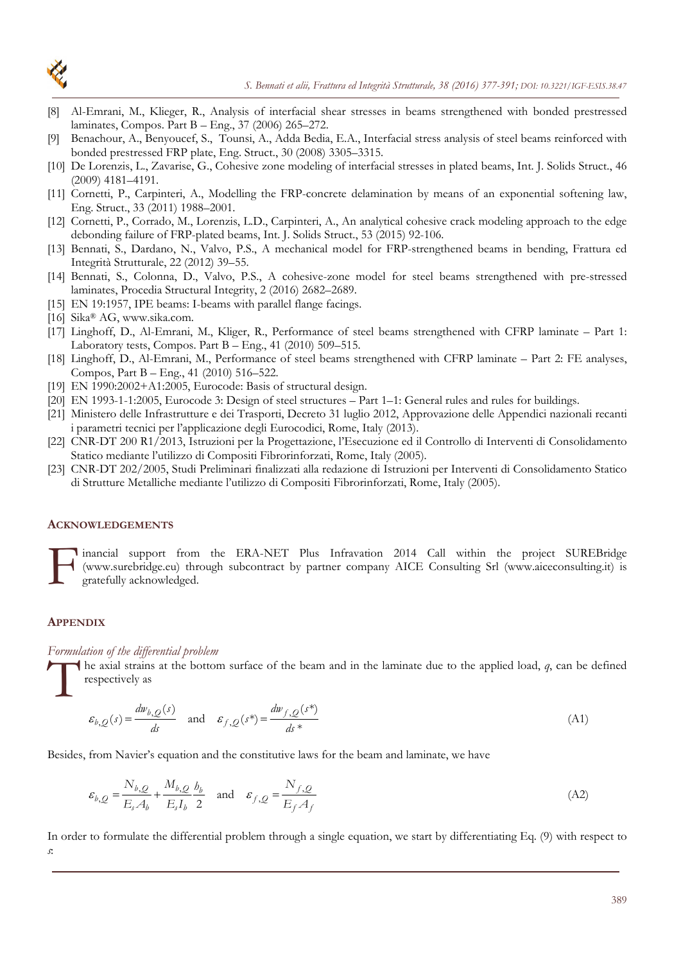

- [8] Al-Emrani, M., Klieger, R., Analysis of interfacial shear stresses in beams strengthened with bonded prestressed laminates, Compos. Part B – Eng., 37 (2006) 265–272.
- [9] Benachour, A., Benyoucef, S., Tounsi, A., Adda Bedia, E.A., Interfacial stress analysis of steel beams reinforced with bonded prestressed FRP plate, Eng. Struct., 30 (2008) 3305–3315.
- [10] De Lorenzis, L., Zavarise, G., Cohesive zone modeling of interfacial stresses in plated beams, Int. J. Solids Struct., 46 (2009) 4181–4191.
- [11] Cornetti, P., Carpinteri, A., Modelling the FRP-concrete delamination by means of an exponential softening law, Eng. Struct., 33 (2011) 1988–2001.
- [12] Cornetti, P., Corrado, M., Lorenzis, L.D., Carpinteri, A., An analytical cohesive crack modeling approach to the edge debonding failure of FRP-plated beams, Int. J. Solids Struct., 53 (2015) 92-106.
- [13] Bennati, S., Dardano, N., Valvo, P.S., A mechanical model for FRP-strengthened beams in bending, Frattura ed Integrità Strutturale, 22 (2012) 39–55.
- [14] Bennati, S., Colonna, D., Valvo, P.S., A cohesive-zone model for steel beams strengthened with pre-stressed laminates, Procedia Structural Integrity, 2 (2016) 2682–2689.
- [15] EN 19:1957, IPE beams: I-beams with parallel flange facings.
- [16] Sika® AG, www.sika.com.
- [17] Linghoff, D., Al-Emrani, M., Kliger, R., Performance of steel beams strengthened with CFRP laminate Part 1: Laboratory tests, Compos. Part  $B - Eng.$ , 41 (2010) 509–515.
- [18] Linghoff, D., Al-Emrani, M., Performance of steel beams strengthened with CFRP laminate Part 2: FE analyses, Compos, Part B – Eng., 41 (2010) 516–522.
- [19] EN 1990:2002+A1:2005, Eurocode: Basis of structural design.
- [20] EN 1993-1-1:2005, Eurocode 3: Design of steel structures Part 1–1: General rules and rules for buildings.
- [21] Ministero delle Infrastrutture e dei Trasporti, Decreto 31 luglio 2012, Approvazione delle Appendici nazionali recanti i parametri tecnici per l'applicazione degli Eurocodici, Rome, Italy (2013).
- [22] CNR-DT 200 R1/2013, Istruzioni per la Progettazione, l'Esecuzione ed il Controllo di Interventi di Consolidamento Statico mediante l'utilizzo di Compositi Fibrorinforzati, Rome, Italy (2005).
- [23] CNR-DT 202/2005, Studi Preliminari finalizzati alla redazione di Istruzioni per Interventi di Consolidamento Statico di Strutture Metalliche mediante l'utilizzo di Compositi Fibrorinforzati, Rome, Italy (2005).

#### **ACKNOWLEDGEMENTS**

inancial support from the ERA-NET Plus Infravation 2014 Call within the project SUREBridge (www.surebridge.eu) through subcontract by partner company AICE Consulting Srl (www.aiceconsulting.it) is gratefully acknowledged. F

# **APPENDIX**

### *Formulation of the differential problem*

he axial strains at the bottom surface of the beam and in the laminate due to the applied load, *q*, can be defined respectively as The rest

$$
\varepsilon_{b,Q}(s) = \frac{dw_{b,Q}(s)}{ds} \quad \text{and} \quad \varepsilon_{f,Q}(s^*) = \frac{dw_{f,Q}(s^*)}{ds^*}
$$
 (A1)

Besides, from Navier's equation and the constitutive laws for the beam and laminate, we have

$$
\varepsilon_{b,Q} = \frac{N_{b,Q}}{E_s A_b} + \frac{M_{b,Q}}{E_s I_b} \frac{b_b}{2} \quad \text{and} \quad \varepsilon_{f,Q} = \frac{N_{f,Q}}{E_f A_f} \tag{A2}
$$

In order to formulate the differential problem through a single equation, we start by differentiating Eq. (9) with respect to *s*: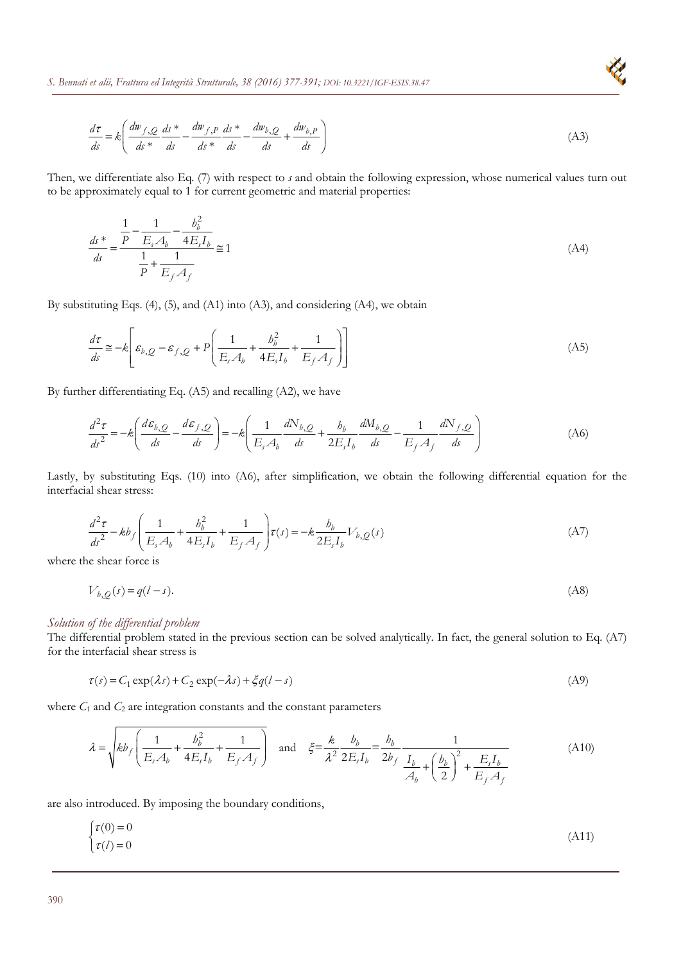$$
\frac{d\tau}{ds} = k \left( \frac{dw_{f,Q}}{ds} \frac{ds \ast}{ds} - \frac{dw_{f,P}}{ds} \frac{ds \ast}{ds} - \frac{dw_{b,Q}}{ds} + \frac{dw_{b,P}}{ds} \right) \tag{A3}
$$

Then, we differentiate also Eq. (7) with respect to *s* and obtain the following expression, whose numerical values turn out to be approximately equal to 1 for current geometric and material properties:

$$
\frac{ds}{ds} = \frac{\frac{1}{P} - \frac{1}{E_s A_b} - \frac{b_b^2}{4E_s I_b}}{\frac{1}{P} + \frac{1}{E_f A_f}} \approx 1\tag{A4}
$$

By substituting Eqs. (4), (5), and (A1) into (A3), and considering (A4), we obtain

$$
\frac{d\tau}{ds} \approx -k \left[ \varepsilon_{b,Q} - \varepsilon_{f,Q} + P \left( \frac{1}{E_s A_b} + \frac{b_b^2}{4E_s I_b} + \frac{1}{E_f A_f} \right) \right]
$$
(A5)

By further differentiating Eq. (A5) and recalling (A2), we have

$$
\frac{d^2\tau}{ds^2} = -k \left( \frac{d\varepsilon_{b,Q}}{ds} - \frac{d\varepsilon_{f,Q}}{ds} \right) = -k \left( \frac{1}{E_s A_b} \frac{dN_{b,Q}}{ds} + \frac{b_b}{2E_s I_b} \frac{dM_{b,Q}}{ds} - \frac{1}{E_f A_f} \frac{dN_{f,Q}}{ds} \right)
$$
(A6)

Lastly, by substituting Eqs. (10) into (A6), after simplification, we obtain the following differential equation for the interfacial shear stress:

$$
\frac{d^2\tau}{ds^2} - kb_f \left( \frac{1}{E_s A_b} + \frac{b_b^2}{4E_s I_b} + \frac{1}{E_f A_f} \right) \tau(s) = -k \frac{b_b}{2E_s I_b} V_{b,Q}(s)
$$
\n(A7)

where the shear force is

$$
V_{b,Q}(s) = q(l-s). \tag{A8}
$$

### *Solution of the differential problem*

The differential problem stated in the previous section can be solved analytically. In fact, the general solution to Eq. (A7) for the interfacial shear stress is

$$
\tau(s) = C_1 \exp(\lambda s) + C_2 \exp(-\lambda s) + \xi q(l - s)
$$
\n(A9)

where  $C_1$  and  $C_2$  are integration constants and the constant parameters

$$
\lambda = \sqrt{k b_f \left( \frac{1}{E_s A_b} + \frac{b_b^2}{4E_s I_b} + \frac{1}{E_f A_f} \right)} \quad \text{and} \quad \xi = \frac{k}{\lambda^2} \frac{b_b}{2E_s I_b} = \frac{b_b}{2b_f} \frac{1}{\frac{I_b}{A_b} + \left( \frac{b_b}{2} \right)^2 + \frac{E_s I_b}{E_f A_f}} \tag{A10}
$$

are also introduced. By imposing the boundary conditions,

$$
\begin{cases} \tau(0) = 0 \\ \tau(l) = 0 \end{cases} \tag{A11}
$$